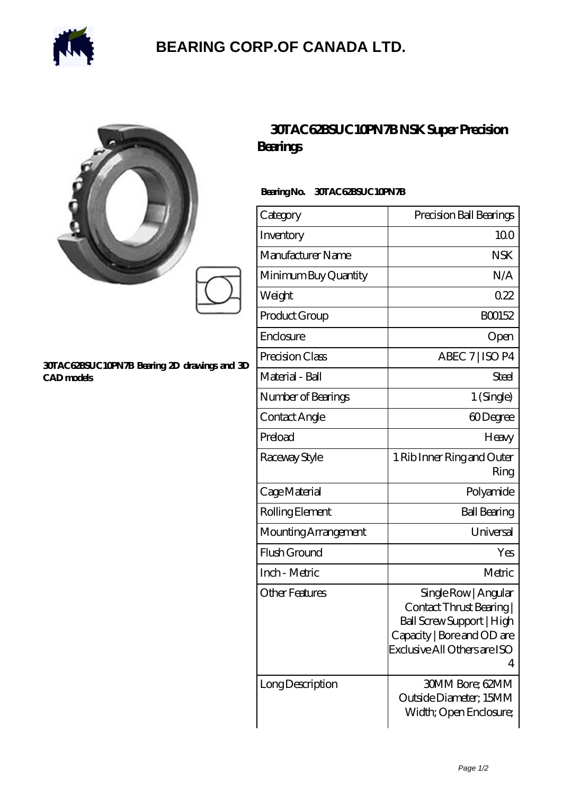

## **[BEARING CORP.OF CANADA LTD.](https://alliancetestequipment.com)**

| Ó<br>X |  |
|--------|--|
|        |  |
|        |  |

#### **[30TAC62BSUC10PN7B Bearing 2D drawings and 3D](https://alliancetestequipment.com/pic-740341.html) [CAD models](https://alliancetestequipment.com/pic-740341.html)**

### **[30TAC62BSUC10PN7B NSK Super Precision](https://alliancetestequipment.com/super-precision-bearings/30tac62bsuc10pn7b.html) [Bearings](https://alliancetestequipment.com/super-precision-bearings/30tac62bsuc10pn7b.html)**

### **Bearing No. 30TAC62BSUC10PN7B**

| Category              | Precision Ball Bearings                                                                                                                          |
|-----------------------|--------------------------------------------------------------------------------------------------------------------------------------------------|
| Inventory             | 100                                                                                                                                              |
| Manufacturer Name     | <b>NSK</b>                                                                                                                                       |
| Minimum Buy Quantity  | N/A                                                                                                                                              |
| Weight                | 022                                                                                                                                              |
| Product Group         | BO0152                                                                                                                                           |
| Enclosure             | Open                                                                                                                                             |
| Precision Class       | ABEC 7   ISO P4                                                                                                                                  |
| Material - Ball       | Steel                                                                                                                                            |
| Number of Bearings    | 1 (Single)                                                                                                                                       |
| Contact Angle         | 60Degree                                                                                                                                         |
| Preload               | Heavy                                                                                                                                            |
| Raceway Style         | 1 Rib Inner Ring and Outer<br>Ring                                                                                                               |
| Cage Material         | Polyamide                                                                                                                                        |
| Rolling Element       | <b>Ball Bearing</b>                                                                                                                              |
| Mounting Arrangement  | Universal                                                                                                                                        |
| Flush Ground          | Yes                                                                                                                                              |
| Inch - Metric         | Metric                                                                                                                                           |
| <b>Other Features</b> | Single Row   Angular<br>Contact Thrust Bearing  <br>Ball Screw Support   High<br>Capacity   Bore and OD are<br>Exclusive All Others are ISO<br>4 |
| Long Description      | 30MM Bore; 62MM<br>Outside Diameter; 15MM<br>Width; Open Enclosure;                                                                              |